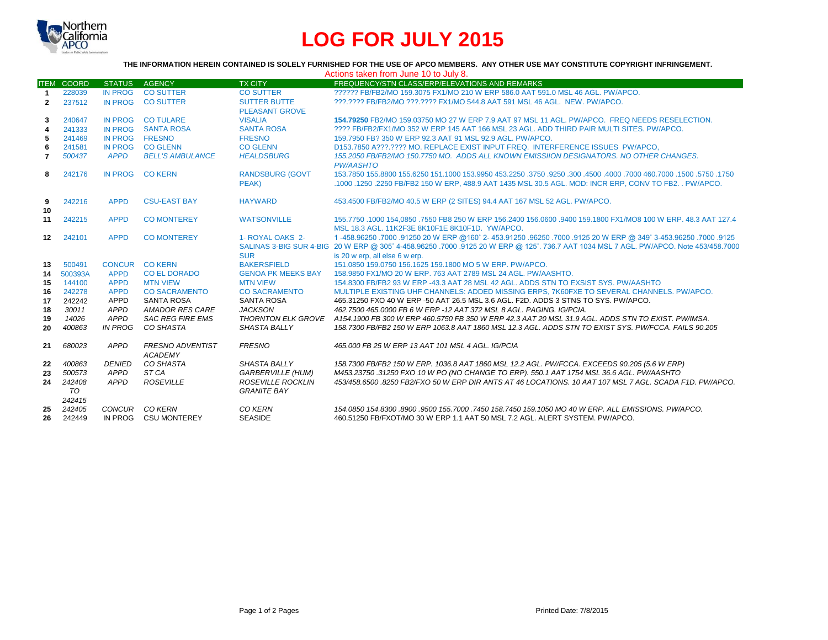

# **LOG FOR JULY 2015**

#### **THE INFORMATION HEREIN CONTAINED IS SOLELY FURNISHED FOR THE USE OF APCO MEMBERS. ANY OTHER USE MAY CONSTITUTE COPYRIGHT INFRINGEMENT.**

|                |                        |                |                                           |                                                | Actions taken from June 10 to July 8.                                                                                                                                                                                                                                            |
|----------------|------------------------|----------------|-------------------------------------------|------------------------------------------------|----------------------------------------------------------------------------------------------------------------------------------------------------------------------------------------------------------------------------------------------------------------------------------|
|                | <b>ITEM COORD</b>      | <b>STATUS</b>  | <b>AGENCY</b>                             | <b>TX CITY</b>                                 | FREQUENCY/STN CLASS/ERP/ELEVATIONS AND REMARKS                                                                                                                                                                                                                                   |
| $\mathbf{1}$   | 228039                 | IN PROG        | <b>CO SUTTER</b>                          | <b>CO SUTTER</b>                               | 222222 FB/FB2/MO 159.3075 FX1/MO 210 W ERP 586.0 AAT 591.0 MSL 46 AGL, PW/APCO.                                                                                                                                                                                                  |
| $\mathbf{2}$   | 237512                 | IN PROG        | <b>CO SUTTER</b>                          | <b>SUTTER BUTTE</b><br><b>PLEASANT GROVE</b>   | ???.???? FB/FB2/MO ???.???? FX1/MO 544.8 AAT 591 MSL 46 AGL. NEW. PW/APCO.                                                                                                                                                                                                       |
| 3              | 240647                 | <b>IN PROG</b> | <b>CO TULARE</b>                          | <b>VISALIA</b>                                 | 154.79250 FB2/MO 159.03750 MO 27 W ERP 7.9 AAT 97 MSL 11 AGL, PW/APCO, FREQ NEEDS RESELECTION.                                                                                                                                                                                   |
| 4              | 241333                 | <b>IN PROG</b> | <b>SANTA ROSA</b>                         | <b>SANTA ROSA</b>                              | 2222 FB/FB2/FX1/MO 352 W ERP 145 AAT 166 MSL 23 AGL. ADD THIRD PAIR MULTI SITES, PW/APCO.                                                                                                                                                                                        |
| 5              | 241469                 | <b>IN PROG</b> | <b>FRESNO</b>                             | <b>FRESNO</b>                                  | 159.7950 FB? 350 W ERP 92.3 AAT 91 MSL 92.9 AGL. PW/APCO.                                                                                                                                                                                                                        |
| 6              | 241581                 | <b>IN PROG</b> | <b>CO GLENN</b>                           | <b>CO GLENN</b>                                | D153.7850 A???.???? MO. REPLACE EXIST INPUT FREQ. INTERFERENCE ISSUES PW/APCO.                                                                                                                                                                                                   |
| $\overline{7}$ | 500437                 | <b>APPD</b>    | <b>BELL'S AMBULANCE</b>                   | <b>HEALDSBURG</b>                              | 155.2050 FB/FB2/MO 150.7750 MO. ADDS ALL KNOWN EMISSIION DESIGNATORS. NO OTHER CHANGES.<br><b>PW/AASHTO</b>                                                                                                                                                                      |
| 8              | 242176                 | <b>IN PROG</b> | <b>CO KERN</b>                            | <b>RANDSBURG (GOVT</b><br>PEAK)                | 1750, 1750, 1500, 1600, 1000 1600, 1000 4500 1600, 1750 1750, 1750 153,9950 161,1000 155,6250 155,6250 155,6250<br>.1000 .1250 .2250 FB/FB2 150 W ERP, 488.9 AAT 1435 MSL 30.5 AGL. MOD: INCR ERP, CONV TO FB2. . PW/APCO.                                                       |
| 9<br>10        | 242216                 | <b>APPD</b>    | <b>CSU-EAST BAY</b>                       | <b>HAYWARD</b>                                 | 453.4500 FB/FB2/MO 40.5 W ERP (2 SITES) 94.4 AAT 167 MSL 52 AGL. PW/APCO.                                                                                                                                                                                                        |
| 11             | 242215                 | <b>APPD</b>    | <b>CO MONTEREY</b>                        | <b>WATSONVILLE</b>                             | 155,7750 .1000 154,0850 .7550 FB8 250 W ERP 156,2400 156,0600 .9400 159,1800 FX1/MO8 100 W ERP, 48,3 AAT 127,4<br>MSL 18.3 AGL, 11K2F3E 8K10F1E 8K10F1D, YW/APCO,                                                                                                                |
| 12             | 242101                 | <b>APPD</b>    | <b>CO MONTEREY</b>                        | 1- ROYAL OAKS 2-<br><b>SUR</b>                 | 1250. 1000. 91250. 349° 3-453. 96250. 9125 96250. 96250. 96250. 96250. 9726 9726 96250. 9125 96250. 1<br>SALINAS 3-BIG SUR 4-BIG 20 W ERP @ 305° 4-458.96250 .7000 .9125 20 W ERP @ 125°. 736.7 AAT 1034 MSL 7 AGL. PW/APCO. Note 453/458.7000<br>is 20 w erp, all else 6 w erp. |
| 13             | 500491                 | <b>CONCUR</b>  | <b>CO KERN</b>                            | <b>BAKERSFIELD</b>                             | 151.0850 159.0750 156.1625 159.1800 MO 5 W ERP. PW/APCO.                                                                                                                                                                                                                         |
| 14             | 500393A                | <b>APPD</b>    | CO EL DORADO                              | <b>GENOA PK MEEKS BAY</b>                      | 158,9850 FX1/MO 20 W ERP, 763 AAT 2789 MSL 24 AGL, PW/AASHTO.                                                                                                                                                                                                                    |
| 15             | 144100                 | <b>APPD</b>    | <b>MTN VIEW</b>                           | <b>MTN VIEW</b>                                | 154,8300 FB/FB2 93 W ERP -43.3 AAT 28 MSL 42 AGL. ADDS STN TO EXSIST SYS. PW/AASHTO                                                                                                                                                                                              |
| 16             | 242278                 | <b>APPD</b>    | <b>CO SACRAMENTO</b>                      | <b>CO SACRAMENTO</b>                           | MULTIPLE EXISTING UHF CHANNELS: ADDED MISSING ERPS, 7K60FXE TO SEVERAL CHANNELS, PW/APCO,                                                                                                                                                                                        |
| 17             | 242242                 | APPD           | <b>SANTA ROSA</b>                         | <b>SANTA ROSA</b>                              | 465,31250 FXO 40 W ERP -50 AAT 26.5 MSL 3.6 AGL, F2D, ADDS 3 STNS TO SYS, PW/APCO.                                                                                                                                                                                               |
| 18             | 30011                  | APPD           | AMADOR RES CARE                           | <b>JACKSON</b>                                 | 462.7500 465.0000 FB 6 W ERP -12 AAT 372 MSL 8 AGL. PAGING. IG/PCIA.                                                                                                                                                                                                             |
| 19             | 14026                  | APPD           | <b>SAC REG FIRE EMS</b>                   | <b>THORNTON ELK GROVE</b>                      | A154,1900 FB 300 W ERP 460,5750 FB 350 W ERP 42,3 AAT 20 MSL 31.9 AGL. ADDS STN TO EXIST, PW/IMSA.                                                                                                                                                                               |
| 20             | 400863                 | <b>IN PROG</b> | CO SHASTA                                 | <b>SHASTA BALLY</b>                            | 158.7300 FB/FB2 150 W ERP 1063.8 AAT 1860 MSL 12.3 AGL. ADDS STN TO EXIST SYS. PW/FCCA. FAILS 90.205                                                                                                                                                                             |
| 21             | 680023                 | APPD           | <b>FRESNO ADVENTIST</b><br><b>ACADEMY</b> | <b>FRESNO</b>                                  | 465,000 FB 25 W ERP 13 AAT 101 MSL 4 AGL, IG/PCIA                                                                                                                                                                                                                                |
| 22             | 400863                 | <b>DENIED</b>  | CO SHASTA                                 | <b>SHASTA BALLY</b>                            | 158.7300 FB/FB2 150 W ERP. 1036.8 AAT 1860 MSL 12.2 AGL. PW/FCCA. EXCEEDS 90.205 (5.6 W ERP)                                                                                                                                                                                     |
| 23             | 500573                 | APPD           | ST <sub>CA</sub>                          | <b>GARBERVILLE (HUM)</b>                       | M453.23750 .31250 FXO 10 W PO (NO CHANGE TO ERP), 550.1 AAT 1754 MSL 36.6 AGL, PW/AASHTO                                                                                                                                                                                         |
| 24             | 242408<br>TO<br>242415 | APPD           | <b>ROSEVILLE</b>                          | <b>ROSEVILLE ROCKLIN</b><br><b>GRANITE BAY</b> | 453/458.6500.8250 FB2/FXO 50 W ERP DIR ANTS AT 46 LOCATIONS. 10 AAT 107 MSL 7 AGL. SCADA F1D. PW/APCO.                                                                                                                                                                           |
| 25             | 242405                 | CONCUR         | CO KERN                                   | CO KERN                                        | 154.0850 154.8300 .8900 .9500 155.7000 .7450 158.7450 159.1050 MO 40 W ERP. ALL EMISSIONS. PW/APCO.                                                                                                                                                                              |
| 26             | 242449                 | IN PROG        | <b>CSU MONTEREY</b>                       | <b>SEASIDE</b>                                 | 460.51250 FB/FXOT/MO 30 W ERP 1.1 AAT 50 MSL 7.2 AGL. ALERT SYSTEM, PW/APCO.                                                                                                                                                                                                     |